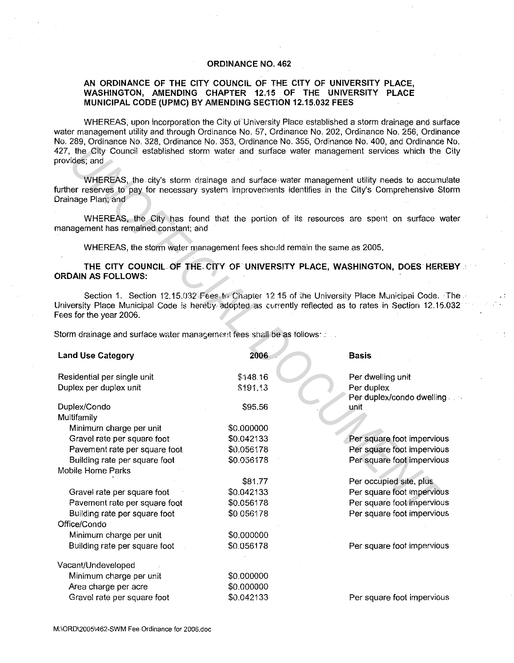## **ORDINANCE NO. 462**

## **AN ORDINANCE OF THE CITY COUNCIL OF THE CITY OF UNIVERSITY PLACE, WASHINGTON, AMENDING CHAPTER 12.15 OF THE UNIVERSITY PLACE MUNICIPAL CODE (UPMC) BY AMENDING SECTION 12.15.032 FEES**

WHEREAS, upon incorporation the City of University Place established a storm drainage and surface water management utility and through Ordinance No. 57, Ordinance No. 202, Ordinance No. 256, Ordinance No. 289, Ordinance No. 328, Ordinance No. 353, Ordinance No. 355, Ordinance No. 400, and Ordinance No. 427, the City Council established storm water and surface water management services which the City provides; and

## THE CITY COUNCIL OF THE CITY OF UNIVERSITY PLACE, WASHINGTON, DOES HEREBY a **ORDAIN AS FOLLOWS:**

| provides; and                                                                                      | , annarvo , o coo | 427, the City Council established storm water and surface water management services which the Cit                                                                                                           |
|----------------------------------------------------------------------------------------------------|-------------------|-------------------------------------------------------------------------------------------------------------------------------------------------------------------------------------------------------------|
| Drainage Plan; and                                                                                 |                   | WHEREAS, the city's storm drainage and surface water management utility needs to accumulate<br>further reserves to pay for necessary system improvements identifies in the City's Comprehensive Storn       |
| management has remained constant; and                                                              |                   | WHEREAS, the City has found that the portion of its resources are spent on surface wate                                                                                                                     |
| WHEREAS, the storm water management fees should remain the same as 2005,                           |                   |                                                                                                                                                                                                             |
| ORDAIN AS FOLLOWS:                                                                                 |                   | THE CITY COUNCIL OF THE CITY OF UNIVERSITY PLACE, WASHINGTON, DOES HEREBY                                                                                                                                   |
| Fees for the year 2006.<br>Storm drainage and surface water management fees shall be as follows: ∴ |                   | Section 1. Section 12.15.032 Fees to Chapter 12.15 of the University Place Municipal Code. The<br>University Place Municipal Code is hereby adopted as currently reflected as to rates in Section 12.15.03: |
| <b>Land Use Category</b>                                                                           | 2006              | <b>Basis</b>                                                                                                                                                                                                |
| Residential per single unit                                                                        | \$148.16          | Per dwelling unit                                                                                                                                                                                           |
| Duplex per duplex unit                                                                             | \$191.13          | Per duplex<br>Per duplex/condo.dwelling.                                                                                                                                                                    |
| Duplex/Condo                                                                                       | \$95.56           | unit                                                                                                                                                                                                        |
| Multifamily                                                                                        |                   |                                                                                                                                                                                                             |
| Minimum charge per unit                                                                            | \$0.000000        |                                                                                                                                                                                                             |
| Gravel rate per square foot                                                                        | \$0.042133        | Per square foot impervious                                                                                                                                                                                  |
| Pavement rate per square foot                                                                      | \$0.056178        | Per square foot impervious                                                                                                                                                                                  |
| Building rate per square foot                                                                      | \$0.056178        | Per square foot impervious                                                                                                                                                                                  |
| Mobile Home Parks                                                                                  |                   |                                                                                                                                                                                                             |
|                                                                                                    | \$81.77           | Per occupied site, plus                                                                                                                                                                                     |
| Gravel rate per square foot                                                                        | \$0.042133        | Per square foot impervious                                                                                                                                                                                  |
| Pavement rate per square foot                                                                      | \$0.056178        | Per square foot impervious                                                                                                                                                                                  |
| Building rate per square foot                                                                      | \$0.056178        | Per square foot impervious                                                                                                                                                                                  |
| Office/Condo                                                                                       |                   |                                                                                                                                                                                                             |
| Minimum charge per unit                                                                            | \$0.000000        |                                                                                                                                                                                                             |
| Building rate per square foot                                                                      | \$0.056178        | Per square foot impervious                                                                                                                                                                                  |
| Vacant/Undeveloped                                                                                 |                   |                                                                                                                                                                                                             |
| Minimum charge per unit                                                                            | \$0.000000        |                                                                                                                                                                                                             |
| Area charge per acre                                                                               | \$0.000000        |                                                                                                                                                                                                             |
| Gravel rate per square foot                                                                        | \$0.042133        | Per square foot impervious                                                                                                                                                                                  |
|                                                                                                    |                   |                                                                                                                                                                                                             |